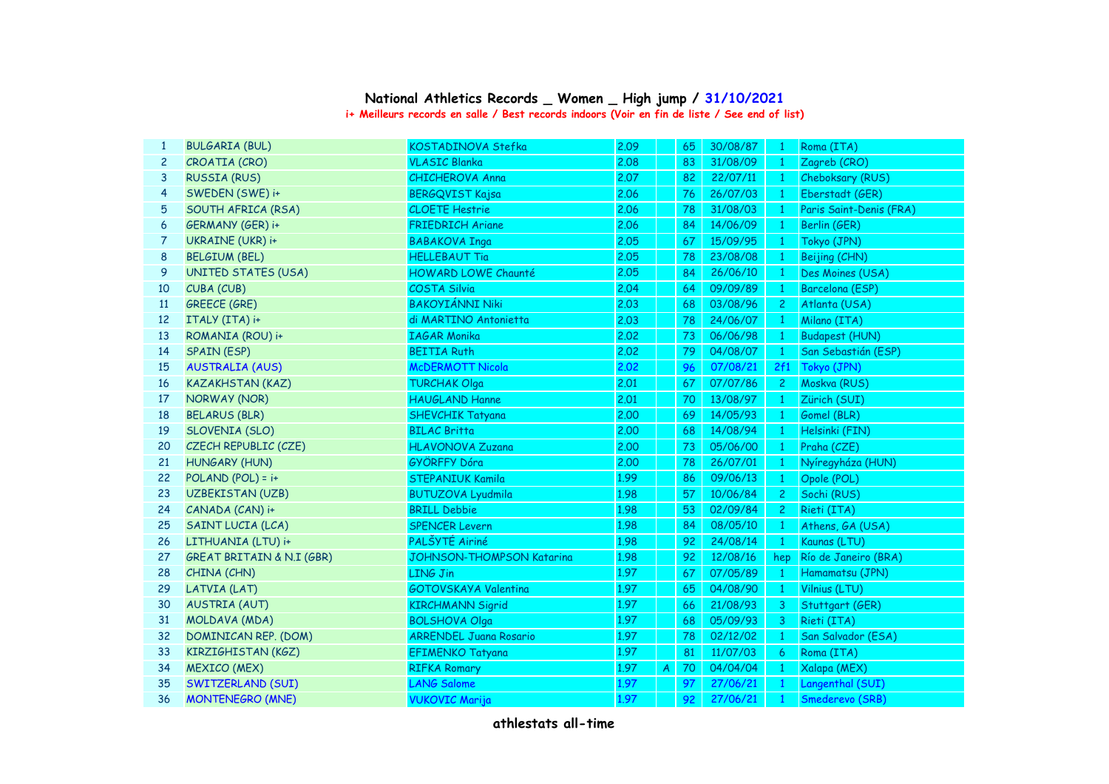## **National Athletics Records \_ Women \_ High jump / 31/10/2021 i+ Meilleurs records en salle / Best records indoors (Voir en fin de liste / See end of list)**

| $\mathbf{1}$ | <b>BULGARIA (BUL)</b>                | KOSTADINOVA Stefka            | 2.09 |                  | 65 | 30/08/87 | $\overline{1}$ | Roma (ITA)              |
|--------------|--------------------------------------|-------------------------------|------|------------------|----|----------|----------------|-------------------------|
| $\mathbf{2}$ | CROATIA (CRO)                        | <b>VLASIC Blanka</b>          | 2.08 |                  | 83 | 31/08/09 | $\mathbf{1}$   | Zagreb (CRO)            |
| 3            | <b>RUSSIA (RUS)</b>                  | CHICHEROVA Anna               | 2.07 |                  | 82 | 22/07/11 | $\mathbf{1}$   | Cheboksary (RUS)        |
| 4            | SWEDEN (SWE) i+                      | <b>BERGQVIST Kajsa</b>        | 2.06 |                  | 76 | 26/07/03 | $\mathbf{1}$   | Eberstadt (GER)         |
| 5            | SOUTH AFRICA (RSA)                   | <b>CLOETE Hestrie</b>         | 2.06 |                  | 78 | 31/08/03 | $\mathbf{1}$   | Paris Saint-Denis (FRA) |
| 6            | GERMANY (GER) i+                     | <b>FRIEDRICH Ariane</b>       | 2.06 |                  | 84 | 14/06/09 | $\mathbf{1}$   | Berlin (GER)            |
| 7            | UKRAINE (UKR) i+                     | <b>BABAKOVA Inga</b>          | 2.05 |                  | 67 | 15/09/95 | $\mathbf{1}$   | Tokyo (JPN)             |
| 8            | <b>BELGIUM (BEL)</b>                 | <b>HELLEBAUT Tia</b>          | 2.05 |                  | 78 | 23/08/08 | $\overline{1}$ | Beijing (CHN)           |
| 9            | <b>UNITED STATES (USA)</b>           | <b>HOWARD LOWE Chaunté</b>    | 2.05 |                  | 84 | 26/06/10 | $\mathbf{1}$   | Des Moines (USA)        |
| 10           | CUBA (CUB)                           | COSTA Silvia                  | 2.04 |                  | 64 | 09/09/89 | $\mathbf{1}$   | Barcelona (ESP)         |
| 11           | <b>GREECE (GRE)</b>                  | <b>BAKOYIÁNNI Niki</b>        | 2.03 |                  | 68 | 03/08/96 | $\overline{c}$ | Atlanta (USA)           |
| 12           | ITALY (ITA) i+                       | di MARTINO Antonietta         | 2.03 |                  | 78 | 24/06/07 | $\mathbf{1}$   | Milano (ITA)            |
| 13           | ROMANIA (ROU) i+                     | <b>IAGAR Monika</b>           | 2.02 |                  | 73 | 06/06/98 | $\mathbf{1}$   | <b>Budapest (HUN)</b>   |
| 14           | <b>SPAIN (ESP)</b>                   | <b>BEITIA Ruth</b>            | 2.02 |                  | 79 | 04/08/07 | $\mathbf{1}$   | San Sebastián (ESP)     |
| 15           | <b>AUSTRALIA (AUS)</b>               | <b>McDERMOTT Nicola</b>       | 2.02 |                  | 96 | 07/08/21 | 2f1            | Tokyo (JPN)             |
| 16           | <b>KAZAKHSTAN (KAZ)</b>              | <b>TURCHAK Olga</b>           | 2.01 |                  | 67 | 07/07/86 | $\overline{c}$ | Moskva (RUS)            |
| 17           | NORWAY (NOR)                         | <b>HAUGLAND Hanne</b>         | 2.01 |                  | 70 | 13/08/97 | $\mathbf{1}$   | Zürich (SUI)            |
| 18           | <b>BELARUS (BLR)</b>                 | <b>SHEVCHIK Tatyana</b>       | 2.00 |                  | 69 | 14/05/93 | $\mathbf{1}$   | Gomel (BLR)             |
| 19           | SLOVENIA (SLO)                       | <b>BILAC Britta</b>           | 2,00 |                  | 68 | 14/08/94 | $\mathbf{1}$   | Helsinki (FIN)          |
| 20           | CZECH REPUBLIC (CZE)                 | <b>HLAVONOVA Zuzana</b>       | 2.00 |                  | 73 | 05/06/00 | $\overline{1}$ | Praha (CZE)             |
| 21           | <b>HUNGARY (HUN)</b>                 | <b>GYÖRFFY Dóra</b>           | 2.00 |                  | 78 | 26/07/01 | $\overline{1}$ | Nyíregyháza (HUN)       |
| 22           | $POLAND (POL) = i+$                  | <b>STEPANIUK Kamila</b>       | 1.99 |                  | 86 | 09/06/13 | $\mathbf{1}$   | Opole (POL)             |
| 23           | <b>UZBEKISTAN (UZB)</b>              | <b>BUTUZOVA Lyudmila</b>      | 1.98 |                  | 57 | 10/06/84 | $\overline{c}$ | Sochi (RUS)             |
| 24           | CANADA (CAN) i+                      | <b>BRILL Debbie</b>           | 1.98 |                  | 53 | 02/09/84 | $\overline{c}$ | Rieti (ITA)             |
| 25           | SAINT LUCIA (LCA)                    | <b>SPENCER Levern</b>         | 1.98 |                  | 84 | 08/05/10 | $\mathbf{1}$   | Athens, GA (USA)        |
| 26           | LITHUANIA (LTU) i+                   | PALŠYTÉ Airiné                | 1.98 |                  | 92 | 24/08/14 | $\mathbf{1}$   | Kaunas (LTU)            |
| 27           | <b>GREAT BRITAIN &amp; N.I (GBR)</b> | JOHNSON-THOMPSON Katarina     | 1.98 |                  | 92 | 12/08/16 | hep            | Río de Janeiro (BRA)    |
| 28           | CHINA (CHN)                          | <b>LING Jin</b>               | 1.97 |                  | 67 | 07/05/89 | $\mathbf{1}$   | Hamamatsu (JPN)         |
| 29           | LATVIA (LAT)                         | GOTOVSKAYA Valentina          | 1.97 |                  | 65 | 04/08/90 | $\mathbf{1}$   | Vilnius (LTU)           |
| 30           | <b>AUSTRIA (AUT)</b>                 | <b>KIRCHMANN Sigrid</b>       | 1.97 |                  | 66 | 21/08/93 | 3              | Stuttgart (GER)         |
| 31           | MOLDAVA (MDA)                        | <b>BOLSHOVA Olga</b>          | 1.97 |                  | 68 | 05/09/93 | 3              | Rieti (ITA)             |
| 32           | DOMINICAN REP. (DOM)                 | <b>ARRENDEL Juana Rosario</b> | 1.97 |                  | 78 | 02/12/02 | $\mathbf{1}$   | San Salvador (ESA)      |
| 33           | KIRZIGHISTAN (KGZ)                   | <b>EFIMENKO Tatyana</b>       | 1.97 |                  | 81 | 11/07/03 | 6              | Roma (ITA)              |
| 34           | <b>MEXICO (MEX)</b>                  | <b>RIFKA Romary</b>           | 1.97 | $\boldsymbol{A}$ | 70 | 04/04/04 | $\mathbf{1}$   | Xalapa (MEX)            |
| 35           | SWITZERLAND (SUI)                    | <b>LANG Salome</b>            | 1.97 |                  | 97 | 27/06/21 | $\mathbf{1}$   | Langenthal (SUI)        |
| 36           | <b>MONTENEGRO (MNE)</b>              | <b>VUKOVIC Marija</b>         | 1.97 |                  | 92 | 27/06/21 | $\mathbf{1}$   | Smederevo (SRB)         |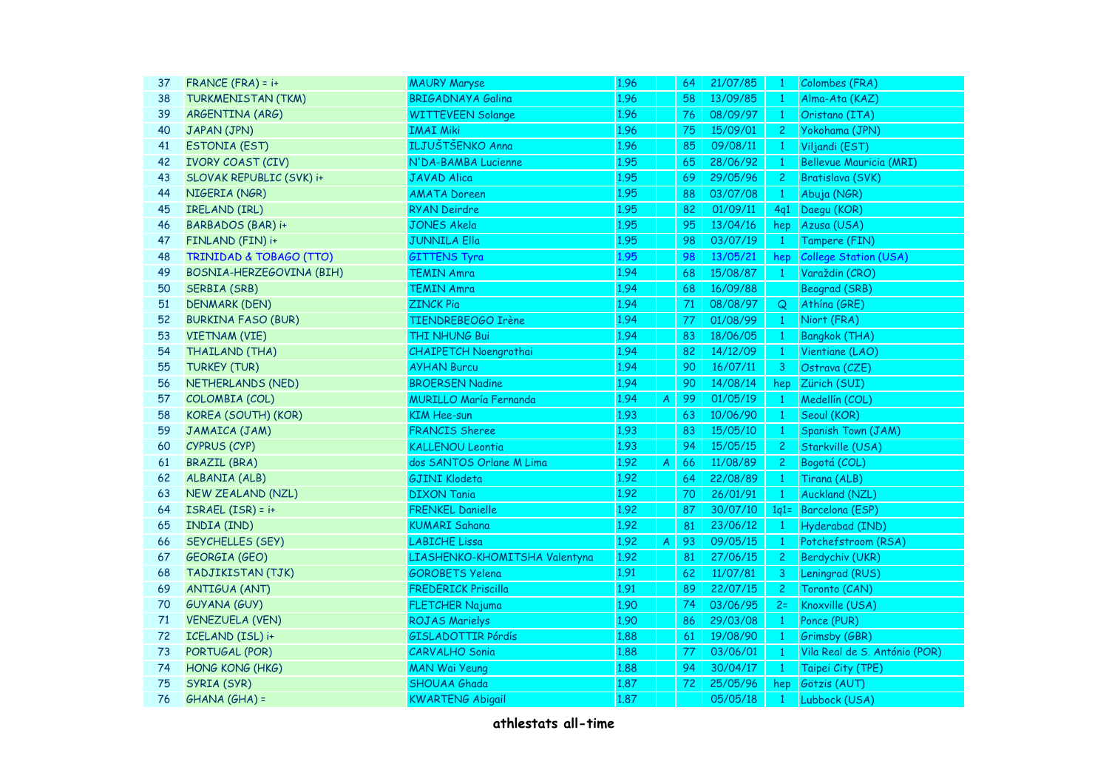| 37 | FRANCE $(FRA) = i+$                | <b>MAURY Maryse</b>           | 1.96 |                  | 64 | 21/07/85 | $\mathbf{1}$   | Colombes (FRA)                 |
|----|------------------------------------|-------------------------------|------|------------------|----|----------|----------------|--------------------------------|
| 38 | <b>TURKMENISTAN (TKM)</b>          | <b>BRIGADNAYA Galina</b>      | 1.96 |                  | 58 | 13/09/85 | $\mathbf{1}$   | Alma-Ata (KAZ)                 |
| 39 | ARGENTINA (ARG)                    | <b>WITTEVEEN Solange</b>      | 1.96 |                  | 76 | 08/09/97 | $\mathbf{1}$   | Oristano (ITA)                 |
| 40 | JAPAN (JPN)                        | <b>IMAI Miki</b>              | 1.96 |                  | 75 | 15/09/01 | $\overline{2}$ | Yokohama (JPN)                 |
| 41 | <b>ESTONIA (EST)</b>               | ILJUŠTŠENKO Anna              | 1.96 |                  | 85 | 09/08/11 | $\mathbf{1}$   | Viljandi (EST)                 |
| 42 | <b>IVORY COAST (CIV)</b>           | N'DA-BAMBA Lucienne           | 1.95 |                  | 65 | 28/06/92 | $\mathbf{1}$   | <b>Bellevue Mauricia (MRI)</b> |
| 43 | SLOVAK REPUBLIC (SVK) i+           | <b>JAVAD Alica</b>            | 1.95 |                  | 69 | 29/05/96 | $\overline{c}$ | Bratislava (SVK)               |
| 44 | NIGERIA (NGR)                      | <b>AMATA Doreen</b>           | 1.95 |                  | 88 | 03/07/08 | $\mathbf{1}$   | Abuja (NGR)                    |
| 45 | <b>IRELAND (IRL)</b>               | <b>RYAN Deirdre</b>           | 1.95 |                  | 82 | 01/09/11 | 4q1            | Daegu (KOR)                    |
| 46 | BARBADOS (BAR) i+                  | <b>JONES Akela</b>            | 1.95 |                  | 95 | 13/04/16 | hep            | Azusa (USA)                    |
| 47 | FINLAND (FIN) i+                   | <b>JUNNILA Ella</b>           | 1.95 |                  | 98 | 03/07/19 | $\mathbf{1}$   | Tampere (FIN)                  |
| 48 | <b>TRINIDAD &amp; TOBAGO (TTO)</b> | <b>GITTENS Tyra</b>           | 1.95 |                  | 98 | 13/05/21 | hep            | <b>College Station (USA)</b>   |
| 49 | BOSNIA-HERZEGOVINA (BIH)           | <b>TEMIN Amra</b>             | 1.94 |                  | 68 | 15/08/87 | $\mathbf{1}$   | Varaždin (CRO)                 |
| 50 | <b>SERBIA (SRB)</b>                | <b>TEMIN Amra</b>             | 1.94 |                  | 68 | 16/09/88 |                | <b>Beograd (SRB)</b>           |
| 51 | <b>DENMARK (DEN)</b>               | <b>ZINCK Pia</b>              | 1.94 |                  | 71 | 08/08/97 | $\mathsf Q$    | Athína (GRE)                   |
| 52 | <b>BURKINA FASO (BUR)</b>          | TIENDREBEOGO Irène            | 1.94 |                  | 77 | 01/08/99 | $\mathbf{1}$   | Niort (FRA)                    |
| 53 | <b>VIETNAM (VIE)</b>               | THI NHUNG Bui                 | 1.94 |                  | 83 | 18/06/05 | $\mathbf{1}$   | <b>Bangkok (THA)</b>           |
| 54 | <b>THAILAND (THA)</b>              | <b>CHAIPETCH Noengrothai</b>  | 1.94 |                  | 82 | 14/12/09 | $\mathbf{1}$   | Vientiane (LAO)                |
| 55 | <b>TURKEY (TUR)</b>                | <b>AYHAN Burcu</b>            | 1.94 |                  | 90 | 16/07/11 | 3              | Ostrava (CZE)                  |
| 56 | NETHERLANDS (NED)                  | <b>BROERSEN Nadine</b>        | 1.94 |                  | 90 | 14/08/14 | hep            | Zürich (SUI)                   |
| 57 | COLOMBIA (COL)                     | <b>MURILLO María Fernanda</b> | 1.94 | $\boldsymbol{A}$ | 99 | 01/05/19 | $\mathbf{1}$   | Medellín (COL)                 |
| 58 | KOREA (SOUTH) (KOR)                | <b>KIM Hee-sun</b>            | 1.93 |                  | 63 | 10/06/90 | $\mathbf{1}$   | Seoul (KOR)                    |
| 59 | JAMAICA (JAM)                      | <b>FRANCIS Sheree</b>         | 1.93 |                  | 83 | 15/05/10 | $\mathbf{1}$   | Spanish Town (JAM)             |
| 60 | CYPRUS (CYP)                       | <b>KALLENOU Leontia</b>       | 1.93 |                  | 94 | 15/05/15 | $\mathbf{2}$   | Starkville (USA)               |
| 61 | <b>BRAZIL (BRA)</b>                | dos SANTOS Orlane M Lima      | 1.92 | $\boldsymbol{A}$ | 66 | 11/08/89 | $\mathbf{2}$   | Bogotá (COL)                   |
| 62 | ALBANIA (ALB)                      | GJINI Klodeta                 | 1.92 |                  | 64 | 22/08/89 | $\mathbf{1}$   | Tirana (ALB)                   |
| 63 | <b>NEW ZEALAND (NZL)</b>           | <b>DIXON Tania</b>            | 1.92 |                  | 70 | 26/01/91 | $\mathbf{1}$   | Auckland (NZL)                 |
| 64 | $ISRAEL (ISR) = i+$                | <b>FRENKEL Danielle</b>       | 1.92 |                  | 87 | 30/07/10 | $1q1=$         | Barcelona (ESP)                |
| 65 | INDIA (IND)                        | <b>KUMARI Sahana</b>          | 1.92 |                  | 81 | 23/06/12 | $\mathbf{1}$   | Hyderabad (IND)                |
| 66 | SEYCHELLES (SEY)                   | <b>LABICHE Lissa</b>          | 1.92 | $\boldsymbol{A}$ | 93 | 09/05/15 | $\mathbf{1}$   | Potchefstroom (RSA)            |
| 67 | <b>GEORGIA (GEO)</b>               | LIASHENKO-KHOMITSHA Valentyna | 1.92 |                  | 81 | 27/06/15 | $\overline{2}$ | Berdychiv (UKR)                |
| 68 | TADJIKISTAN (TJK)                  | <b>GOROBETS Yelena</b>        | 1.91 |                  | 62 | 11/07/81 | $\mathbf{3}$   | Leningrad (RUS)                |
| 69 | <b>ANTIGUA (ANT)</b>               | <b>FREDERICK Priscilla</b>    | 1.91 |                  | 89 | 22/07/15 | $\overline{2}$ | Toronto (CAN)                  |
| 70 | <b>GUYANA (GUY)</b>                | <b>FLETCHER Najuma</b>        | 1.90 |                  | 74 | 03/06/95 | $2=$           | Knoxville (USA)                |
| 71 | <b>VENEZUELA (VEN)</b>             | <b>ROJAS Marielys</b>         | 1.90 |                  | 86 | 29/03/08 | $\mathbf{1}$   | Ponce (PUR)                    |
| 72 | ICELAND (ISL) i+                   | GISLADOTTIR Pórdís            | 1.88 |                  | 61 | 19/08/90 | $\mathbf{1}$   | Grimsby (GBR)                  |
| 73 | PORTUGAL (POR)                     | <b>CARVALHO Sonia</b>         | 1.88 |                  | 77 | 03/06/01 | $\mathbf{1}$   | Vila Real de S. António (POR)  |
| 74 | HONG KONG (HKG)                    | <b>MAN Wai Yeung</b>          | 1.88 |                  | 94 | 30/04/17 | $\mathbf{1}$   | Taipei City (TPE)              |
| 75 | SYRIA (SYR)                        | SHOUAA Ghada                  | 1.87 |                  | 72 | 25/05/96 | hep            | Götzis (AUT)                   |
| 76 | GHANA (GHA) =                      | <b>KWARTENG Abigail</b>       | 1.87 |                  |    | 05/05/18 | $\mathbf{1}$   | Lubbock (USA)                  |
|    |                                    |                               |      |                  |    |          |                |                                |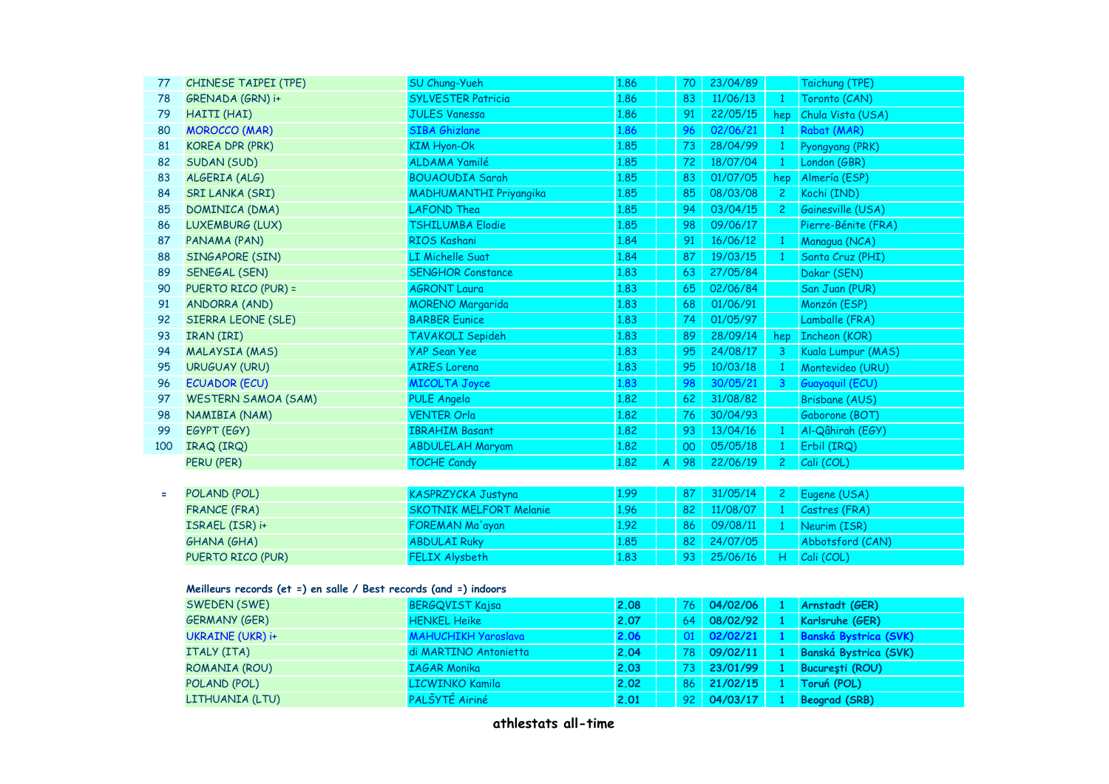| 77       | CHINESE TAIPEI (TPE)                                             | SU Chung-Yueh                  | 1.86 |   | 70 | 23/04/89 |                | Taichung (TPE)                   |
|----------|------------------------------------------------------------------|--------------------------------|------|---|----|----------|----------------|----------------------------------|
| 78       | GRENADA (GRN) i+                                                 | <b>SYLVESTER Patricia</b>      | 1.86 |   | 83 | 11/06/13 | $\mathbf{1}$   | Toronto (CAN)                    |
| 79       | HAITI (HAI)                                                      | <b>JULES Vanessa</b>           | 1.86 |   | 91 | 22/05/15 | hep            | Chula Vista (USA)                |
| 80       | <b>MOROCCO (MAR)</b>                                             | <b>SIBA Ghizlane</b>           | 1.86 |   | 96 | 02/06/21 | $\mathbf{1}$   | Rabat (MAR)                      |
| 81       | <b>KOREA DPR (PRK)</b>                                           | <b>KIM Hyon-Ok</b>             | 1.85 |   | 73 | 28/04/99 | $\mathbf{1}$   | Pyongyang (PRK)                  |
| 82       | SUDAN (SUD)                                                      | ALDAMA Yamilé                  | 1.85 |   | 72 | 18/07/04 | $\mathbf{1}$   | London (GBR)                     |
| 83       | ALGERIA (ALG)                                                    | <b>BOUAOUDIA Sarah</b>         | 1.85 |   | 83 | 01/07/05 | hep            | Almería (ESP)                    |
| 84       | <b>SRI LANKA (SRI)</b>                                           | <b>MADHUMANTHI Priyangika</b>  | 1.85 |   | 85 | 08/03/08 | $\overline{c}$ | Kochi (IND)                      |
| 85       | DOMINICA (DMA)                                                   | <b>LAFOND Thea</b>             | 1.85 |   | 94 | 03/04/15 | $\mathbf{2}$   | Gainesville (USA)                |
| 86       | LUXEMBURG (LUX)                                                  | <b>TSHILUMBA Elodie</b>        | 1.85 |   | 98 | 09/06/17 |                | Pierre-Bénite (FRA)              |
| 87       | PANAMA (PAN)                                                     | RIOS Kashani                   | 1.84 |   | 91 | 16/06/12 | -1             | Managua (NCA)                    |
| 88       | SINGAPORE (SIN)                                                  | LI Michelle Suat               | 1,84 |   | 87 | 19/03/15 | $\mathbf{1}$   | Santa Cruz (PHI)                 |
| 89       | SENEGAL (SEN)                                                    | <b>SENGHOR Constance</b>       | 1.83 |   | 63 | 27/05/84 |                | Dakar (SEN)                      |
| 90       | PUERTO RICO (PUR) =                                              | <b>AGRONT Laura</b>            | 1.83 |   | 65 | 02/06/84 |                | San Juan (PUR)                   |
| 91       | ANDORRA (AND)                                                    | <b>MORENO Margarida</b>        | 1.83 |   | 68 | 01/06/91 |                | Monzón (ESP)                     |
| 92       | <b>SIERRA LEONE (SLE)</b>                                        | <b>BARBER Eunice</b>           | 1.83 |   | 74 | 01/05/97 |                | Lamballe (FRA)                   |
| 93       | IRAN (IRI)                                                       | <b>TAVAKOLI Sepideh</b>        | 1.83 |   | 89 | 28/09/14 | hep            | <b>Incheon (KOR)</b>             |
| 94       | <b>MALAYSIA (MAS)</b>                                            | <b>YAP Sean Yee</b>            | 1.83 |   | 95 | 24/08/17 | $\overline{3}$ | Kuala Lumpur (MAS)               |
| 95       | <b>URUGUAY (URU)</b>                                             | <b>AIRES Lorena</b>            | 1.83 |   | 95 | 10/03/18 | $\mathbf{1}$   | Montevideo (URU)                 |
| 96       | <b>ECUADOR (ECU)</b>                                             | <b>MICOLTA Joyce</b>           | 1.83 |   | 98 | 30/05/21 | $\overline{3}$ | Guayaquil (ECU)                  |
| 97       | <b>WESTERN SAMOA (SAM)</b>                                       | <b>PULE Angela</b>             | 1.82 |   | 62 | 31/08/82 |                | <b>Brisbane (AUS)</b>            |
| 98       | NAMIBIA (NAM)                                                    | <b>VENTER Orla</b>             | 1,82 |   | 76 | 30/04/93 |                | Gaborone (BOT)                   |
| 99       | EGYPT (EGY)                                                      | <b>IBRAHIM Basant</b>          | 1.82 |   | 93 | 13/04/16 | $\mathbf{1}$   | Al-Qâhirah (EGY)                 |
| 100      | IRAQ (IRQ)                                                       | <b>ABDULELAH Maryam</b>        | 1.82 |   | 00 | 05/05/18 | $\mathbf{1}$   | Erbil (IRQ)                      |
|          | PERU (PER)                                                       | <b>TOCHE Candy</b>             | 1.82 | A | 98 | 22/06/19 | $\overline{2}$ | Cali (COL)                       |
|          |                                                                  |                                |      |   |    |          |                |                                  |
| $\equiv$ | POLAND (POL)                                                     | KASPRZYCKA Justyna             | 1.99 |   | 87 | 31/05/14 | $\overline{2}$ | Eugene (USA)                     |
|          | <b>FRANCE (FRA)</b>                                              | <b>SKOTNIK MELFORT Melanie</b> | 1.96 |   | 82 | 11/08/07 | $\mathbf{1}$   | Castres (FRA)                    |
|          | ISRAEL (ISR) i+                                                  | FOREMAN Ma'ayan                | 1.92 |   | 86 | 09/08/11 | $\mathbf{1}$   | Neurim (ISR)                     |
|          | GHANA (GHA)                                                      | <b>ABDULAI Ruky</b>            | 1,85 |   | 82 | 24/07/05 |                | Abbotsford (CAN)                 |
|          | PUERTO RICO (PUR)                                                | <b>FELIX Alysbeth</b>          | 1,83 |   | 93 | 25/06/16 | H              | Cali (COL)                       |
|          |                                                                  |                                |      |   |    |          |                |                                  |
|          | Meilleurs records (et =) en salle / Best records (and =) indoors |                                |      |   |    |          |                |                                  |
|          | SMEDENI (SME) A CONTRACTOR AND A CONTRACTOR                      | <b>REDGOVIST Voice</b>         | 2.08 |   |    |          |                | $76$ $04/02/06$ 1 Annetadt (CFD) |

| SWEDEN (SWE)         | <b>BERGQVIST Kajsa</b> | 2.08 | 76 04/02/06             | Arnstadt (GER)        |
|----------------------|------------------------|------|-------------------------|-----------------------|
| <b>GERMANY (GER)</b> | <b>HENKEL Heike</b>    | 2.07 | 64 08/02/92             | Karlsruhe (GER)       |
| UKRAINE (UKR) i+     | MAHUCHIKH Yaroslava    | 2.06 | $01 \mid 02/02/21 \mid$ | Banská Bystrica (SVK) |
| ITALY (ITA)          | di MARTINO Antonietta  | 2.04 | 78 09/02/11             | Banská Bystrica (SVK) |
| ROMANIA (ROU)        | <b>IAGAR Monika</b>    | 2.03 | 73 23/01/99             | Bucuresti (ROU)       |
| POLAND (POL)         | <b>LICWINKO Kamila</b> | 2.02 | 86 21/02/15             | Toruń (POL)           |
| LITHUANIA (LTU)      | PALŠYTÉ Airiné         | 2.01 | 92 04/03/17             | <b>Beograd (SRB)</b>  |